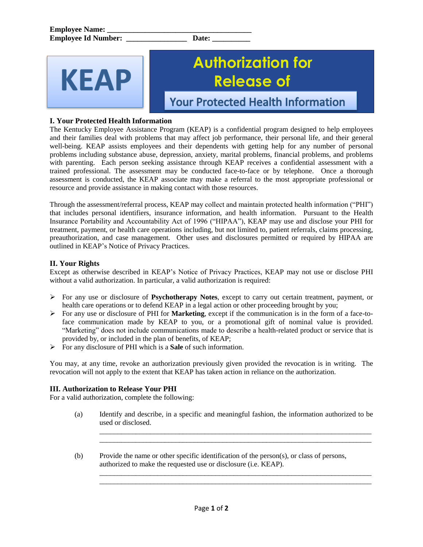# **KEAP**

## **Authorization for Release of**

**Your Protected Health Information** 

### **I. Your Protected Health Information**

The Kentucky Employee Assistance Program (KEAP) is a confidential program designed to help employees and their families deal with problems that may affect job performance, their personal life, and their general well-being. KEAP assists employees and their dependents with getting help for any number of personal problems including substance abuse, depression, anxiety, marital problems, financial problems, and problems with parenting. Each person seeking assistance through KEAP receives a confidential assessment with a trained professional. The assessment may be conducted face-to-face or by telephone. Once a thorough assessment is conducted, the KEAP associate may make a referral to the most appropriate professional or resource and provide assistance in making contact with those resources.

Through the assessment/referral process, KEAP may collect and maintain protected health information ("PHI") that includes personal identifiers, insurance information, and health information. Pursuant to the Health Insurance Portability and Accountability Act of 1996 ("HIPAA"), KEAP may use and disclose your PHI for treatment, payment, or health care operations including, but not limited to, patient referrals, claims processing, preauthorization, and case management. Other uses and disclosures permitted or required by HIPAA are outlined in KEAP's Notice of Privacy Practices.

### **II. Your Rights**

Except as otherwise described in KEAP's Notice of Privacy Practices, KEAP may not use or disclose PHI without a valid authorization. In particular, a valid authorization is required:

- For any use or disclosure of **Psychotherapy Notes**, except to carry out certain treatment, payment, or health care operations or to defend KEAP in a legal action or other proceeding brought by you;
- For any use or disclosure of PHI for **Marketing**, except if the communication is in the form of a face-toface communication made by KEAP to you, or a promotional gift of nominal value is provided. "Marketing" does not include communications made to describe a health-related product or service that is provided by, or included in the plan of benefits, of KEAP;
- For any disclosure of PHI which is a **Sale** of such information.

You may, at any time, revoke an authorization previously given provided the revocation is in writing. The revocation will not apply to the extent that KEAP has taken action in reliance on the authorization.

### **III. Authorization to Release Your PHI**

For a valid authorization, complete the following:

(a) Identify and describe, in a specific and meaningful fashion, the information authorized to be used or disclosed.

 $\overline{\phantom{a}}$  ,  $\overline{\phantom{a}}$  ,  $\overline{\phantom{a}}$  ,  $\overline{\phantom{a}}$  ,  $\overline{\phantom{a}}$  ,  $\overline{\phantom{a}}$  ,  $\overline{\phantom{a}}$  ,  $\overline{\phantom{a}}$  ,  $\overline{\phantom{a}}$  ,  $\overline{\phantom{a}}$  ,  $\overline{\phantom{a}}$  ,  $\overline{\phantom{a}}$  ,  $\overline{\phantom{a}}$  ,  $\overline{\phantom{a}}$  ,  $\overline{\phantom{a}}$  ,  $\overline{\phantom{a}}$  $\overline{\phantom{a}}$  ,  $\overline{\phantom{a}}$  ,  $\overline{\phantom{a}}$  ,  $\overline{\phantom{a}}$  ,  $\overline{\phantom{a}}$  ,  $\overline{\phantom{a}}$  ,  $\overline{\phantom{a}}$  ,  $\overline{\phantom{a}}$  ,  $\overline{\phantom{a}}$  ,  $\overline{\phantom{a}}$  ,  $\overline{\phantom{a}}$  ,  $\overline{\phantom{a}}$  ,  $\overline{\phantom{a}}$  ,  $\overline{\phantom{a}}$  ,  $\overline{\phantom{a}}$  ,  $\overline{\phantom{a}}$ 

 $\overline{\phantom{a}}$  ,  $\overline{\phantom{a}}$  ,  $\overline{\phantom{a}}$  ,  $\overline{\phantom{a}}$  ,  $\overline{\phantom{a}}$  ,  $\overline{\phantom{a}}$  ,  $\overline{\phantom{a}}$  ,  $\overline{\phantom{a}}$  ,  $\overline{\phantom{a}}$  ,  $\overline{\phantom{a}}$  ,  $\overline{\phantom{a}}$  ,  $\overline{\phantom{a}}$  ,  $\overline{\phantom{a}}$  ,  $\overline{\phantom{a}}$  ,  $\overline{\phantom{a}}$  ,  $\overline{\phantom{a}}$  $\overline{\phantom{a}}$  ,  $\overline{\phantom{a}}$  ,  $\overline{\phantom{a}}$  ,  $\overline{\phantom{a}}$  ,  $\overline{\phantom{a}}$  ,  $\overline{\phantom{a}}$  ,  $\overline{\phantom{a}}$  ,  $\overline{\phantom{a}}$  ,  $\overline{\phantom{a}}$  ,  $\overline{\phantom{a}}$  ,  $\overline{\phantom{a}}$  ,  $\overline{\phantom{a}}$  ,  $\overline{\phantom{a}}$  ,  $\overline{\phantom{a}}$  ,  $\overline{\phantom{a}}$  ,  $\overline{\phantom{a}}$ 

(b) Provide the name or other specific identification of the person(s), or class of persons, authorized to make the requested use or disclosure (i.e. KEAP).